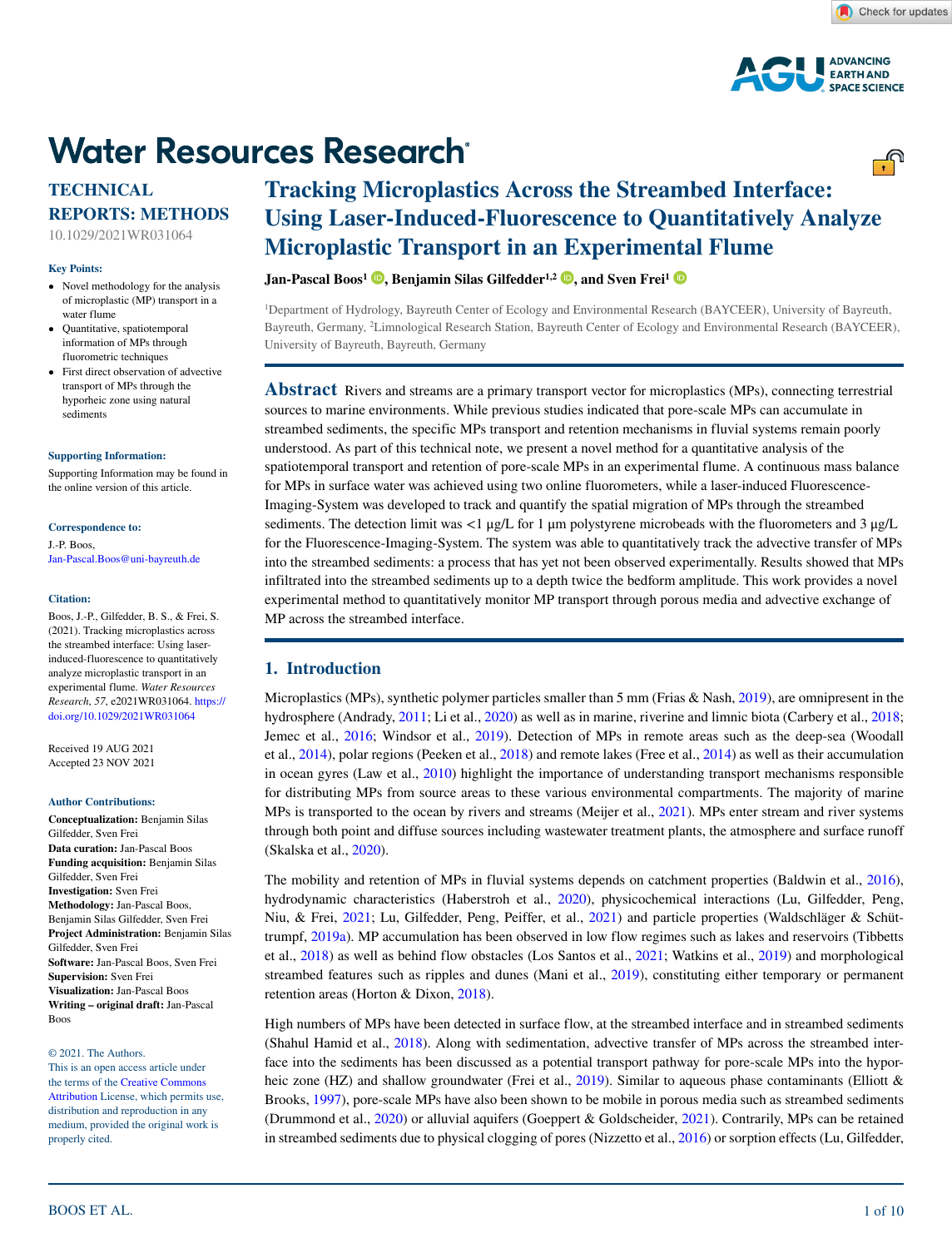

# **Water Resources Research®**

# **TECHNICAL REPORTS: METHODS**

10.1029/2021WR031064

#### **Key Points:**

- Novel methodology for the analysis of microplastic (MP) transport in a water flume
- Quantitative, spatiotemporal information of MPs through fluorometric techniques
- First direct observation of advective transport of MPs through the hyporheic zone using natural sediments

#### **[Supporting Information:](https://doi.org/10.1029/2021WR031064)**

[Supporting Information may be found in](https://doi.org/10.1029/2021WR031064)  [the online version of this article.](https://doi.org/10.1029/2021WR031064)

#### **Correspondence to:**

J.-P. Boos, Jan-Pascal.Boos@uni-bayreuth.de

#### **Citation:**

Boos, J.-P., Gilfedder, B. S., & Frei, S. (2021). Tracking microplastics across the streambed interface: Using laserinduced-fluorescence to quantitatively analyze microplastic transport in an experimental flume. *Water Resources Research*, *57*, e2021WR031064. [https://](https://doi.org/10.1029/2021WR031064) [doi.org/10.1029/2021WR031064](https://doi.org/10.1029/2021WR031064)

Received 19 AUG 2021 Accepted 23 NOV 2021

#### **Author Contributions:**

**Conceptualization:** Benjamin Silas Gilfedder, Sven Frei **Data curation:** Jan-Pascal Boos **Funding acquisition:** Benjamin Silas Gilfedder, Sven Frei **Investigation:** Sven Frei **Methodology:** Jan-Pascal Boos, Benjamin Silas Gilfedder, Sven Frei **Project Administration:** Benjamin Silas Gilfedder, Sven Frei **Software:** Jan-Pascal Boos, Sven Frei **Supervision:** Sven Frei **Visualization:** Jan-Pascal Boos **Writing – original draft:** Jan-Pascal Boos

#### © 2021. The Authors.

This is an open access article under the terms of the [Creative Commons](http://creativecommons.org/licenses/by/4.0/)  [Attribution](http://creativecommons.org/licenses/by/4.0/) License, which permits use, distribution and reproduction in any medium, provided the original work is properly cited.

# **Tracking Microplastics Across the Streambed Interface: Using Laser-Induced-Fluorescence to Quantitatively Analyze Microplastic Transport in an Experimental Flume**

# *Jan-Pascal Boos<sup>1</sup>* **<b>D**[,](https://orcid.org/0000-0002-6169-5198) Benjamin Silas Gilfedder<sup>1,2</sup> **D**, and Sven Frei<sup>1</sup> **D**

1 Department of Hydrology, Bayreuth Center of Ecology and Environmental Research (BAYCEER), University of Bayreuth, Bayreuth, Germany, 2 Limnological Research Station, Bayreuth Center of Ecology and Environmental Research (BAYCEER), University of Bayreuth, Bayreuth, Germany

**Abstract** Rivers and streams are a primary transport vector for microplastics (MPs), connecting terrestrial sources to marine environments. While previous studies indicated that pore-scale MPs can accumulate in streambed sediments, the specific MPs transport and retention mechanisms in fluvial systems remain poorly understood. As part of this technical note, we present a novel method for a quantitative analysis of the spatiotemporal transport and retention of pore-scale MPs in an experimental flume. A continuous mass balance for MPs in surface water was achieved using two online fluorometers, while a laser-induced Fluorescence-Imaging-System was developed to track and quantify the spatial migration of MPs through the streambed sediments. The detection limit was  $\langle 1 \mu g/L \rangle$  for 1  $\mu$ m polystyrene microbeads with the fluorometers and 3  $\mu g/L$ for the Fluorescence-Imaging-System. The system was able to quantitatively track the advective transfer of MPs into the streambed sediments: a process that has yet not been observed experimentally. Results showed that MPs infiltrated into the streambed sediments up to a depth twice the bedform amplitude. This work provides a novel experimental method to quantitatively monitor MP transport through porous media and advective exchange of MP across the streambed interface.

# **1. Introduction**

Microplastics (MPs), synthetic polymer particles smaller than 5 mm (Frias & Nash, [2019](#page-8-0)), are omnipresent in the hydrosphere (Andrady, [2011;](#page-8-1) Li et al., [2020\)](#page-9-0) as well as in marine, riverine and limnic biota (Carbery et al., [2018](#page-8-2); Jemec et al., [2016](#page-9-1); Windsor et al., [2019](#page-9-2)). Detection of MPs in remote areas such as the deep-sea (Woodall et al., [2014\)](#page-9-3), polar regions (Peeken et al., [2018\)](#page-9-4) and remote lakes (Free et al., [2014\)](#page-8-3) as well as their accumulation in ocean gyres (Law et al., [2010](#page-9-5)) highlight the importance of understanding transport mechanisms responsible for distributing MPs from source areas to these various environmental compartments. The majority of marine MPs is transported to the ocean by rivers and streams (Meijer et al., [2021\)](#page-9-6). MPs enter stream and river systems through both point and diffuse sources including wastewater treatment plants, the atmosphere and surface runoff (Skalska et al., [2020](#page-9-7)).

The mobility and retention of MPs in fluvial systems depends on catchment properties (Baldwin et al., [2016](#page-8-4)), hydrodynamic characteristics (Haberstroh et al., [2020](#page-8-5)), physicochemical interactions (Lu, Gilfedder, Peng, Niu, & Frei, [2021](#page-9-8); Lu, Gilfedder, Peng, Peiffer, et al., [2021\)](#page-9-9) and particle properties (Waldschläger & Schüttrumpf, [2019a](#page-9-10)). MP accumulation has been observed in low flow regimes such as lakes and reservoirs (Tibbetts et al., [2018\)](#page-9-11) as well as behind flow obstacles (Los Santos et al., [2021](#page-9-12); Watkins et al., [2019\)](#page-9-13) and morphological streambed features such as ripples and dunes (Mani et al., [2019\)](#page-9-14), constituting either temporary or permanent retention areas (Horton & Dixon, [2018\)](#page-9-15).

High numbers of MPs have been detected in surface flow, at the streambed interface and in streambed sediments (Shahul Hamid et al., [2018\)](#page-9-16). Along with sedimentation, advective transfer of MPs across the streambed interface into the sediments has been discussed as a potential transport pathway for pore-scale MPs into the hypor-heic zone (HZ) and shallow groundwater (Frei et al., [2019\)](#page-8-6). Similar to aqueous phase contaminants (Elliott & Brooks, [1997\)](#page-8-7), pore-scale MPs have also been shown to be mobile in porous media such as streambed sediments (Drummond et al., [2020](#page-8-8)) or alluvial aquifers (Goeppert & Goldscheider, [2021](#page-8-9)). Contrarily, MPs can be retained in streambed sediments due to physical clogging of pores (Nizzetto et al., [2016](#page-9-17)) or sorption effects (Lu, Gilfedder,

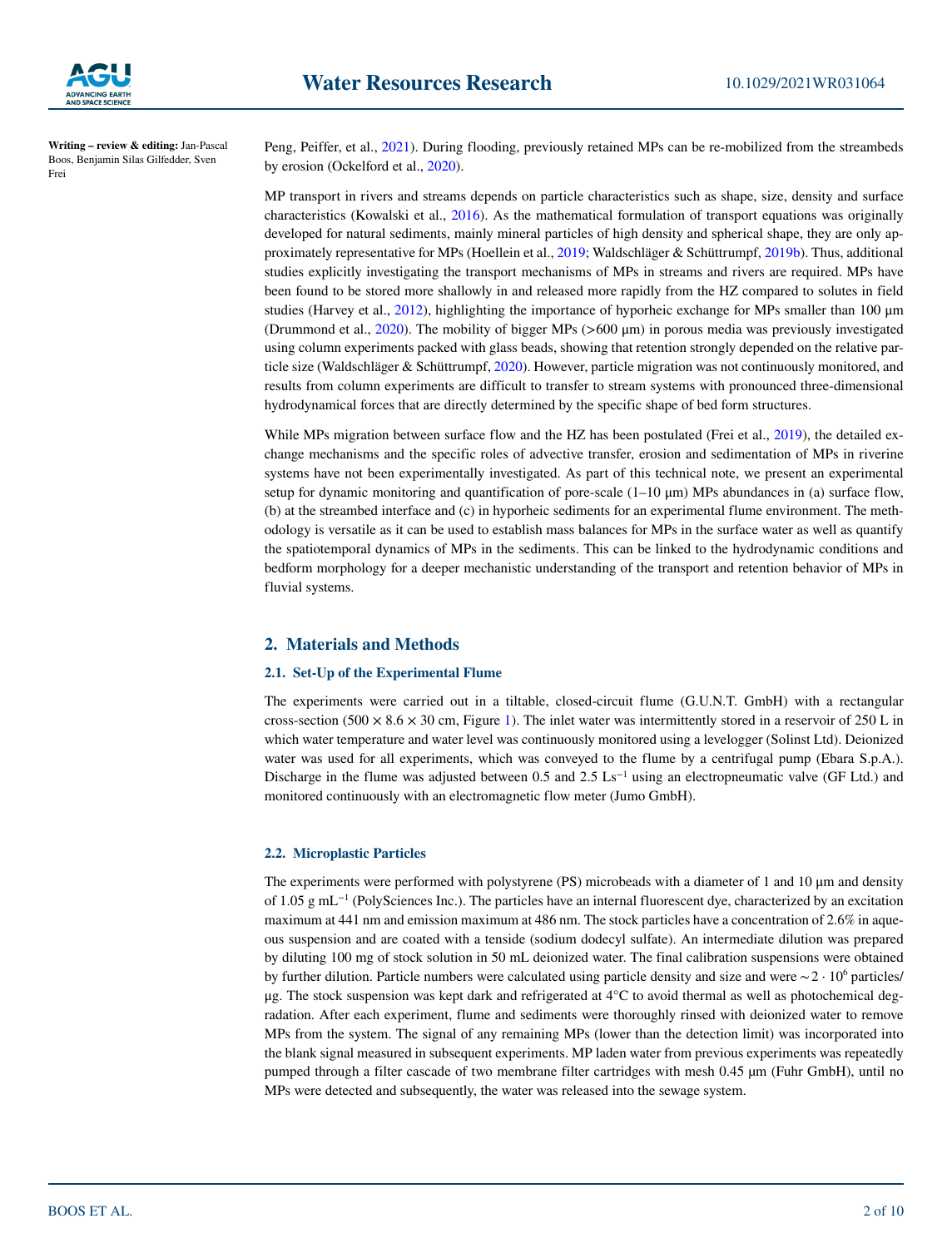

Peng, Peiffer, et al., [2021\)](#page-9-8). During flooding, previously retained MPs can be re-mobilized from the streambeds by erosion (Ockelford et al., [2020\)](#page-9-18).

MP transport in rivers and streams depends on particle characteristics such as shape, size, density and surface characteristics (Kowalski et al., [2016\)](#page-9-19). As the mathematical formulation of transport equations was originally developed for natural sediments, mainly mineral particles of high density and spherical shape, they are only approximately representative for MPs (Hoellein et al., [2019;](#page-9-20) Waldschläger & Schüttrumpf, [2019b](#page-9-21)). Thus, additional studies explicitly investigating the transport mechanisms of MPs in streams and rivers are required. MPs have been found to be stored more shallowly in and released more rapidly from the HZ compared to solutes in field studies (Harvey et al., [2012](#page-9-22)), highlighting the importance of hyporheic exchange for MPs smaller than 100 μm (Drummond et al., [2020\)](#page-8-8). The mobility of bigger MPs (>600 μm) in porous media was previously investigated using column experiments packed with glass beads, showing that retention strongly depended on the relative particle size (Waldschläger & Schüttrumpf, [2020\)](#page-9-23). However, particle migration was not continuously monitored, and results from column experiments are difficult to transfer to stream systems with pronounced three-dimensional hydrodynamical forces that are directly determined by the specific shape of bed form structures.

While MPs migration between surface flow and the HZ has been postulated (Frei et al., [2019\)](#page-8-6), the detailed exchange mechanisms and the specific roles of advective transfer, erosion and sedimentation of MPs in riverine systems have not been experimentally investigated. As part of this technical note, we present an experimental setup for dynamic monitoring and quantification of pore-scale  $(1-10 \,\mu m)$  MPs abundances in (a) surface flow, (b) at the streambed interface and (c) in hyporheic sediments for an experimental flume environment. The methodology is versatile as it can be used to establish mass balances for MPs in the surface water as well as quantify the spatiotemporal dynamics of MPs in the sediments. This can be linked to the hydrodynamic conditions and bedform morphology for a deeper mechanistic understanding of the transport and retention behavior of MPs in fluvial systems.

# **2. Materials and Methods**

#### **2.1. Set-Up of the Experimental Flume**

The experiments were carried out in a tiltable, closed-circuit flume (G.U.N.T. GmbH) with a rectangular cross-section (500  $\times$  8.6  $\times$  30 cm, Figure [1\)](#page-2-0). The inlet water was intermittently stored in a reservoir of 250 L in which water temperature and water level was continuously monitored using a levelogger (Solinst Ltd). Deionized water was used for all experiments, which was conveyed to the flume by a centrifugal pump (Ebara S.p.A.). Discharge in the flume was adjusted between 0.5 and 2.5 Ls<sup>-1</sup> using an electropneumatic valve (GF Ltd.) and monitored continuously with an electromagnetic flow meter (Jumo GmbH).

#### **2.2. Microplastic Particles**

The experiments were performed with polystyrene (PS) microbeads with a diameter of 1 and 10  $\mu$ m and density of 1.05 g mL−1 (PolySciences Inc.). The particles have an internal fluorescent dye, characterized by an excitation maximum at 441 nm and emission maximum at 486 nm. The stock particles have a concentration of 2.6% in aqueous suspension and are coated with a tenside (sodium dodecyl sulfate). An intermediate dilution was prepared by diluting 100 mg of stock solution in 50 mL deionized water. The final calibration suspensions were obtained by further dilution. Particle numbers were calculated using particle density and size and were  $\sim$ 2 ⋅ 10<sup>6</sup> particles/ μg. The stock suspension was kept dark and refrigerated at 4°C to avoid thermal as well as photochemical degradation. After each experiment, flume and sediments were thoroughly rinsed with deionized water to remove MPs from the system. The signal of any remaining MPs (lower than the detection limit) was incorporated into the blank signal measured in subsequent experiments. MP laden water from previous experiments was repeatedly pumped through a filter cascade of two membrane filter cartridges with mesh 0.45  $\mu$ m (Fuhr GmbH), until no MPs were detected and subsequently, the water was released into the sewage system.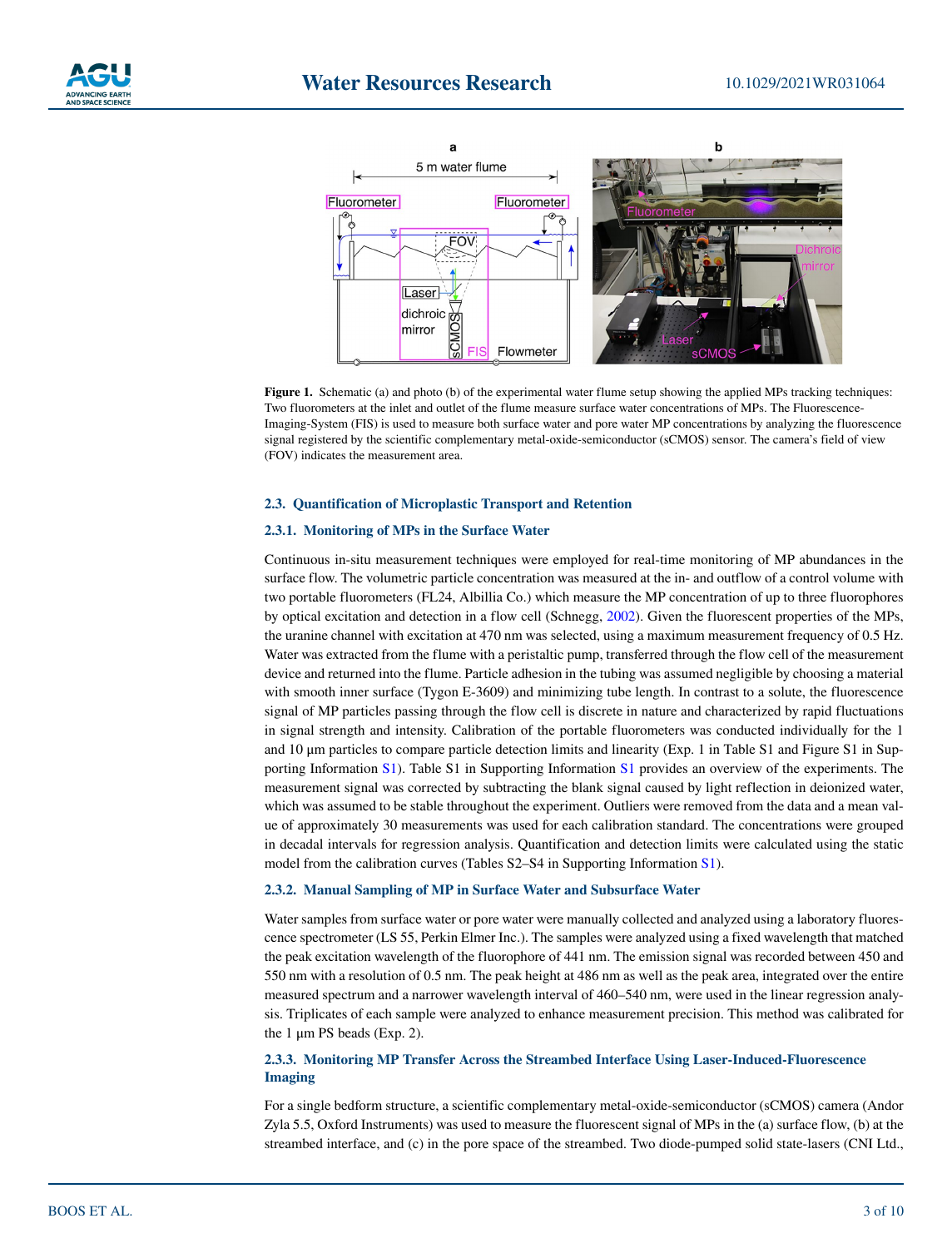



<span id="page-2-0"></span>**Figure 1.** Schematic (a) and photo (b) of the experimental water flume setup showing the applied MPs tracking techniques: Two fluorometers at the inlet and outlet of the flume measure surface water concentrations of MPs. The Fluorescence-Imaging-System (FIS) is used to measure both surface water and pore water MP concentrations by analyzing the fluorescence signal registered by the scientific complementary metal-oxide-semiconductor (sCMOS) sensor. The camera's field of view (FOV) indicates the measurement area.

#### **2.3. Quantification of Microplastic Transport and Retention**

#### **2.3.1. Monitoring of MPs in the Surface Water**

Continuous in-situ measurement techniques were employed for real-time monitoring of MP abundances in the surface flow. The volumetric particle concentration was measured at the in- and outflow of a control volume with two portable fluorometers (FL24, Albillia Co.) which measure the MP concentration of up to three fluorophores by optical excitation and detection in a flow cell (Schnegg, [2002](#page-9-24)). Given the fluorescent properties of the MPs, the uranine channel with excitation at 470 nm was selected, using a maximum measurement frequency of 0.5 Hz. Water was extracted from the flume with a peristaltic pump, transferred through the flow cell of the measurement device and returned into the flume. Particle adhesion in the tubing was assumed negligible by choosing a material with smooth inner surface (Tygon E-3609) and minimizing tube length. In contrast to a solute, the fluorescence signal of MP particles passing through the flow cell is discrete in nature and characterized by rapid fluctuations in signal strength and intensity. Calibration of the portable fluorometers was conducted individually for the 1 and 10 μm particles to compare particle detection limits and linearity (Exp. 1 in Table S1 and Figure S1 in Supporting Information S1). Table S1 in Supporting Information S1 provides an overview of the experiments. The measurement signal was corrected by subtracting the blank signal caused by light reflection in deionized water, which was assumed to be stable throughout the experiment. Outliers were removed from the data and a mean value of approximately 30 measurements was used for each calibration standard. The concentrations were grouped in decadal intervals for regression analysis. Quantification and detection limits were calculated using the static model from the calibration curves (Tables S2–S4 in Supporting Information S1).

#### **2.3.2. Manual Sampling of MP in Surface Water and Subsurface Water**

Water samples from surface water or pore water were manually collected and analyzed using a laboratory fluorescence spectrometer (LS 55, Perkin Elmer Inc.). The samples were analyzed using a fixed wavelength that matched the peak excitation wavelength of the fluorophore of 441 nm. The emission signal was recorded between 450 and 550 nm with a resolution of 0.5 nm. The peak height at 486 nm as well as the peak area, integrated over the entire measured spectrum and a narrower wavelength interval of 460–540 nm, were used in the linear regression analysis. Triplicates of each sample were analyzed to enhance measurement precision. This method was calibrated for the 1 μm PS beads (Exp. 2).

# **2.3.3. Monitoring MP Transfer Across the Streambed Interface Using Laser-Induced-Fluorescence Imaging**

For a single bedform structure, a scientific complementary metal-oxide-semiconductor (sCMOS) camera (Andor Zyla 5.5, Oxford Instruments) was used to measure the fluorescent signal of MPs in the (a) surface flow, (b) at the streambed interface, and (c) in the pore space of the streambed. Two diode-pumped solid state-lasers (CNI Ltd.,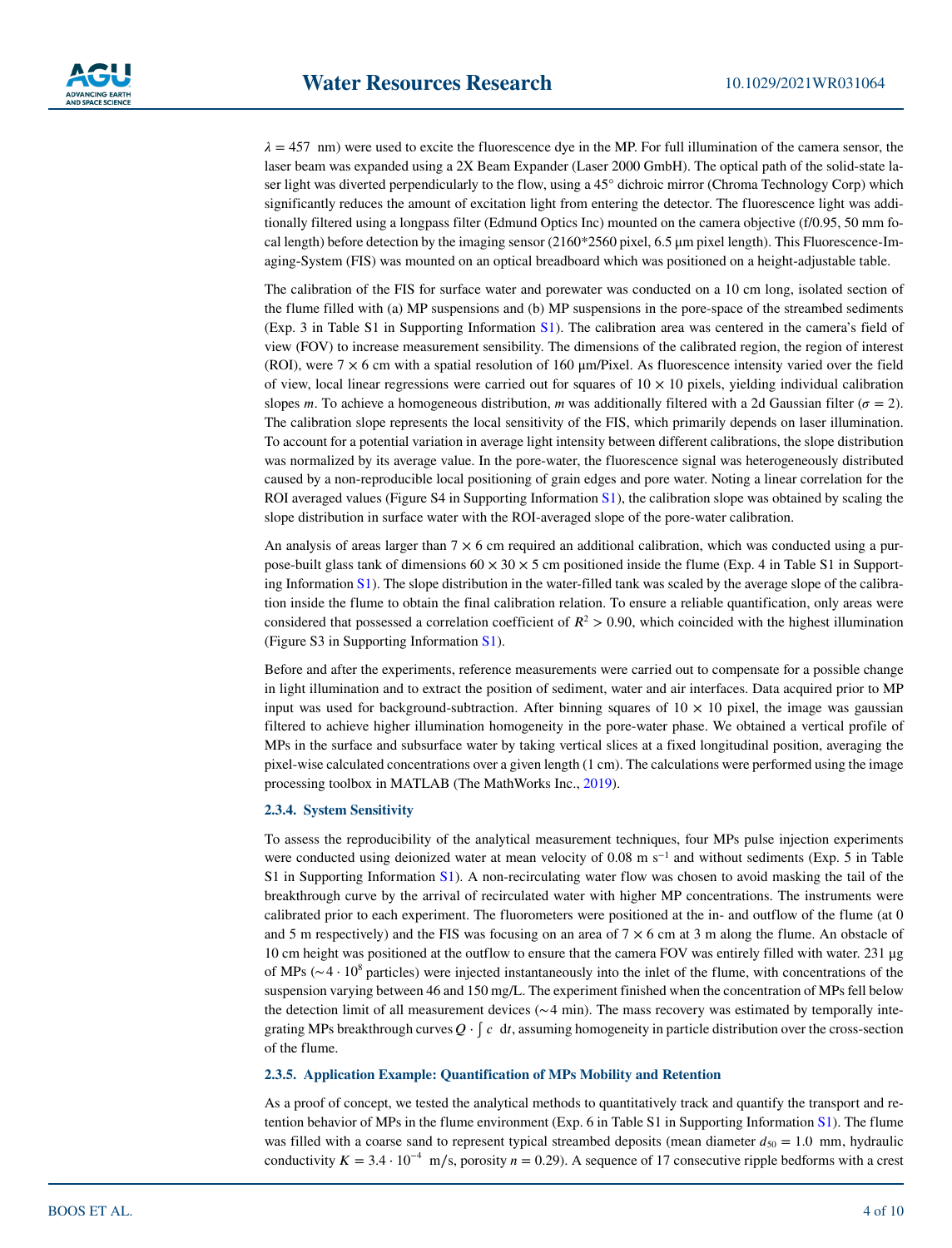$\lambda = 457$  nm) were used to excite the fluorescence dye in the MP. For full illumination of the camera sensor, the laser beam was expanded using a 2X Beam Expander (Laser 2000 GmbH). The optical path of the solid-state laser light was diverted perpendicularly to the flow, using a 45° dichroic mirror (Chroma Technology Corp) which significantly reduces the amount of excitation light from entering the detector. The fluorescence light was additionally filtered using a longpass filter (Edmund Optics Inc) mounted on the camera objective (f/0.95, 50 mm focal length) before detection by the imaging sensor (2160\*2560 pixel, 6.5 μm pixel length). This Fluorescence-Imaging-System (FIS) was mounted on an optical breadboard which was positioned on a height-adjustable table.

The calibration of the FIS for surface water and porewater was conducted on a 10 cm long, isolated section of the flume filled with (a) MP suspensions and (b) MP suspensions in the pore-space of the streambed sediments (Exp. 3 in Table S1 in Supporting Information S1). The calibration area was centered in the camera's field of view (FOV) to increase measurement sensibility. The dimensions of the calibrated region, the region of interest (ROI), were  $7 \times 6$  cm with a spatial resolution of 160  $\mu$ m/Pixel. As fluorescence intensity varied over the field of view, local linear regressions were carried out for squares of  $10 \times 10$  pixels, yielding individual calibration slopes *m*. To achieve a homogeneous distribution, *m* was additionally filtered with a 2d Gaussian filter ( $\sigma = 2$ ). The calibration slope represents the local sensitivity of the FIS, which primarily depends on laser illumination. To account for a potential variation in average light intensity between different calibrations, the slope distribution was normalized by its average value. In the pore-water, the fluorescence signal was heterogeneously distributed caused by a non-reproducible local positioning of grain edges and pore water. Noting a linear correlation for the ROI averaged values (Figure S4 in Supporting Information S1), the calibration slope was obtained by scaling the slope distribution in surface water with the ROI-averaged slope of the pore-water calibration.

An analysis of areas larger than  $7 \times 6$  cm required an additional calibration, which was conducted using a purpose-built glass tank of dimensions  $60 \times 30 \times 5$  cm positioned inside the flume (Exp. 4 in Table S1 in Supporting Information S1). The slope distribution in the water-filled tank was scaled by the average slope of the calibration inside the flume to obtain the final calibration relation. To ensure a reliable quantification, only areas were considered that possessed a correlation coefficient of  $R^2 > 0.90$ , which coincided with the highest illumination (Figure S3 in Supporting Information S1).

Before and after the experiments, reference measurements were carried out to compensate for a possible change in light illumination and to extract the position of sediment, water and air interfaces. Data acquired prior to MP input was used for background-subtraction. After binning squares of  $10 \times 10$  pixel, the image was gaussian filtered to achieve higher illumination homogeneity in the pore-water phase. We obtained a vertical profile of MPs in the surface and subsurface water by taking vertical slices at a fixed longitudinal position, averaging the pixel-wise calculated concentrations over a given length (1 cm). The calculations were performed using the image processing toolbox in MATLAB (The MathWorks Inc., [2019](#page-9-25)).

#### **2.3.4. System Sensitivity**

To assess the reproducibility of the analytical measurement techniques, four MPs pulse injection experiments were conducted using deionized water at mean velocity of 0.08 m s<sup>−1</sup> and without sediments (Exp. 5 in Table S1 in Supporting Information S1). A non-recirculating water flow was chosen to avoid masking the tail of the breakthrough curve by the arrival of recirculated water with higher MP concentrations. The instruments were calibrated prior to each experiment. The fluorometers were positioned at the in- and outflow of the flume (at 0 and 5 m respectively) and the FIS was focusing on an area of  $7 \times 6$  cm at 3 m along the flume. An obstacle of 10 cm height was positioned at the outflow to ensure that the camera FOV was entirely filled with water. 231 μg of MPs ( $∼ 4 \cdot 10^8$  particles) were injected instantaneously into the inlet of the flume, with concentrations of the suspension varying between 46 and 150 mg/L. The experiment finished when the concentration of MPs fell below the detection limit of all measurement devices (∼ 4 min). The mass recovery was estimated by temporally integrating MPs breakthrough curves  $Q \cdot \int c \, dt$ , assuming homogeneity in particle distribution over the cross-section of the flume.

#### **2.3.5. Application Example: Quantification of MPs Mobility and Retention**

As a proof of concept, we tested the analytical methods to quantitatively track and quantify the transport and retention behavior of MPs in the flume environment (Exp. 6 in Table S1 in Supporting Information S1). The flume was filled with a coarse sand to represent typical streambed deposits (mean diameter  $d_{50} = 1.0$  mm, hydraulic conductivity  $K = 3.4 \cdot 10^{-4}$  m/s, porosity  $n = 0.29$ ). A sequence of 17 consecutive ripple bedforms with a crest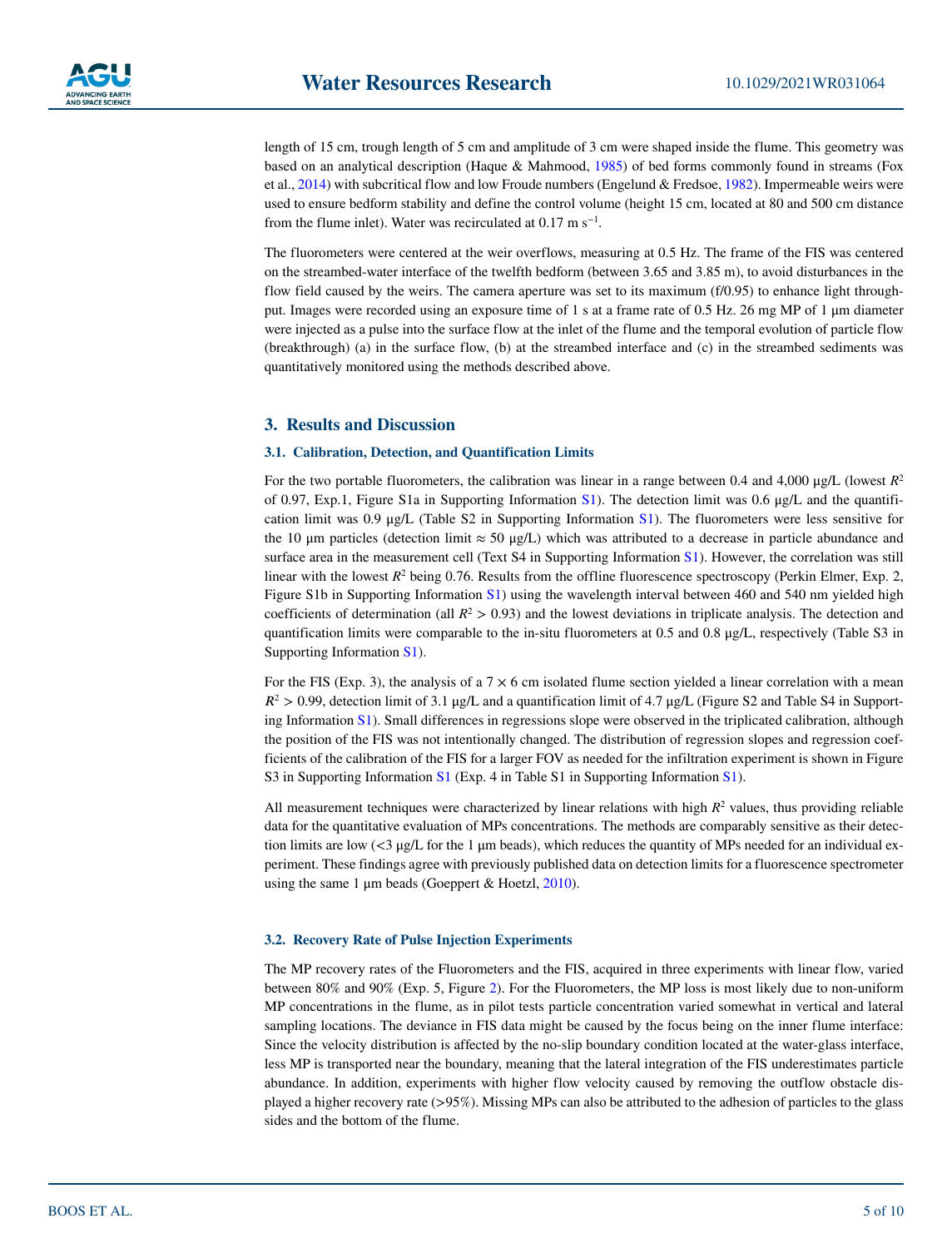length of 15 cm, trough length of 5 cm and amplitude of 3 cm were shaped inside the flume. This geometry was based on an analytical description (Haque & Mahmood, [1985](#page-9-26)) of bed forms commonly found in streams (Fox et al., [2014](#page-8-10)) with subcritical flow and low Froude numbers (Engelund & Fredsoe, [1982](#page-8-11)). Impermeable weirs were used to ensure bedform stability and define the control volume (height 15 cm, located at 80 and 500 cm distance from the flume inlet). Water was recirculated at  $0.17 \text{ m s}^{-1}$ .

The fluorometers were centered at the weir overflows, measuring at 0.5 Hz. The frame of the FIS was centered on the streambed-water interface of the twelfth bedform (between 3.65 and 3.85 m), to avoid disturbances in the flow field caused by the weirs. The camera aperture was set to its maximum (f/0.95) to enhance light throughput. Images were recorded using an exposure time of 1 s at a frame rate of 0.5 Hz. 26 mg MP of 1 μm diameter were injected as a pulse into the surface flow at the inlet of the flume and the temporal evolution of particle flow (breakthrough) (a) in the surface flow, (b) at the streambed interface and (c) in the streambed sediments was quantitatively monitored using the methods described above.

# **3. Results and Discussion**

#### **3.1. Calibration, Detection, and Quantification Limits**

For the two portable fluorometers, the calibration was linear in a range between 0.4 and 4,000 μg/L (lowest *R*<sup>2</sup> of 0.97, Exp.1, Figure S1a in Supporting Information S1). The detection limit was 0.6 μg/L and the quantification limit was 0.9 μg/L (Table S2 in Supporting Information S1). The fluorometers were less sensitive for the 10 μm particles (detection limit  $\approx$  50 μg/L) which was attributed to a decrease in particle abundance and surface area in the measurement cell (Text S4 in Supporting Information S1). However, the correlation was still linear with the lowest  $R^2$  being 0.76. Results from the offline fluorescence spectroscopy (Perkin Elmer, Exp. 2, Figure S1b in Supporting Information S1) using the wavelength interval between 460 and 540 nm yielded high coefficients of determination (all  $R^2 > 0.93$ ) and the lowest deviations in triplicate analysis. The detection and quantification limits were comparable to the in-situ fluorometers at 0.5 and 0.8 μg/L, respectively (Table S3 in Supporting Information S1).

For the FIS (Exp. 3), the analysis of a  $7 \times 6$  cm isolated flume section yielded a linear correlation with a mean  $R^2 > 0.99$ , detection limit of 3.1 μg/L and a quantification limit of 4.7 μg/L (Figure S2 and Table S4 in Supporting Information S1). Small differences in regressions slope were observed in the triplicated calibration, although the position of the FIS was not intentionally changed. The distribution of regression slopes and regression coefficients of the calibration of the FIS for a larger FOV as needed for the infiltration experiment is shown in Figure S3 in Supporting Information S1 (Exp. 4 in Table S1 in Supporting Information S1).

All measurement techniques were characterized by linear relations with high  $R<sup>2</sup>$  values, thus providing reliable data for the quantitative evaluation of MPs concentrations. The methods are comparably sensitive as their detection limits are low  $\langle 3 \mu g/L \rangle$  for the 1  $\mu$ m beads), which reduces the quantity of MPs needed for an individual experiment. These findings agree with previously published data on detection limits for a fluorescence spectrometer using the same 1 μm beads (Goeppert & Hoetzl, [2010\)](#page-8-12).

#### **3.2. Recovery Rate of Pulse Injection Experiments**

The MP recovery rates of the Fluorometers and the FIS, acquired in three experiments with linear flow, varied between 80% and 90% (Exp. 5, Figure [2\)](#page-5-0). For the Fluorometers, the MP loss is most likely due to non-uniform MP concentrations in the flume, as in pilot tests particle concentration varied somewhat in vertical and lateral sampling locations. The deviance in FIS data might be caused by the focus being on the inner flume interface: Since the velocity distribution is affected by the no-slip boundary condition located at the water-glass interface, less MP is transported near the boundary, meaning that the lateral integration of the FIS underestimates particle abundance. In addition, experiments with higher flow velocity caused by removing the outflow obstacle displayed a higher recovery rate (>95%). Missing MPs can also be attributed to the adhesion of particles to the glass sides and the bottom of the flume.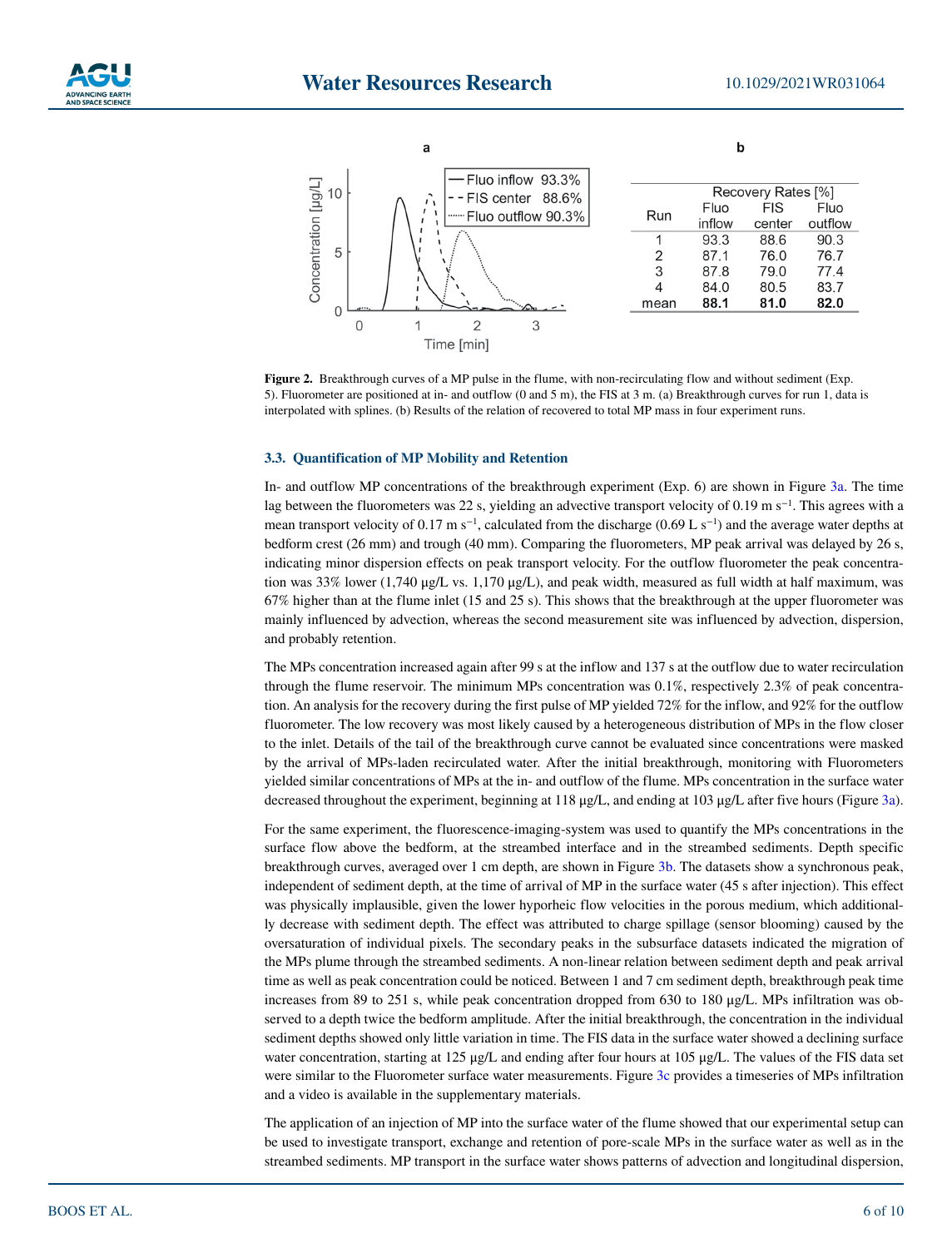



<span id="page-5-0"></span>**Figure 2.** Breakthrough curves of a MP pulse in the flume, with non-recirculating flow and without sediment (Exp. 5). Fluorometer are positioned at in- and outflow (0 and 5 m), the FIS at 3 m. (a) Breakthrough curves for run 1, data is interpolated with splines. (b) Results of the relation of recovered to total MP mass in four experiment runs.

#### **3.3. Quantification of MP Mobility and Retention**

In- and outflow MP concentrations of the breakthrough experiment (Exp. 6) are shown in Figure [3a.](#page-6-0) The time lag between the fluorometers was 22 s, yielding an advective transport velocity of 0.19 m s−1. This agrees with a mean transport velocity of  $0.17 \text{ m s}^{-1}$ , calculated from the discharge (0.69 L s<sup>−1</sup>) and the average water depths at bedform crest (26 mm) and trough (40 mm). Comparing the fluorometers, MP peak arrival was delayed by 26 s, indicating minor dispersion effects on peak transport velocity. For the outflow fluorometer the peak concentration was 33% lower (1,740 μg/L vs. 1,170 μg/L), and peak width, measured as full width at half maximum, was 67% higher than at the flume inlet (15 and 25 s). This shows that the breakthrough at the upper fluorometer was mainly influenced by advection, whereas the second measurement site was influenced by advection, dispersion, and probably retention.

The MPs concentration increased again after 99 s at the inflow and 137 s at the outflow due to water recirculation through the flume reservoir. The minimum MPs concentration was 0.1%, respectively 2.3% of peak concentration. An analysis for the recovery during the first pulse of MP yielded 72% for the inflow, and 92% for the outflow fluorometer. The low recovery was most likely caused by a heterogeneous distribution of MPs in the flow closer to the inlet. Details of the tail of the breakthrough curve cannot be evaluated since concentrations were masked by the arrival of MPs-laden recirculated water. After the initial breakthrough, monitoring with Fluorometers yielded similar concentrations of MPs at the in- and outflow of the flume. MPs concentration in the surface water decreased throughout the experiment, beginning at 118 μg/L, and ending at 103 μg/L after five hours (Figure [3a](#page-6-0)).

For the same experiment, the fluorescence-imaging-system was used to quantify the MPs concentrations in the surface flow above the bedform, at the streambed interface and in the streambed sediments. Depth specific breakthrough curves, averaged over 1 cm depth, are shown in Figure [3b.](#page-6-0) The datasets show a synchronous peak, independent of sediment depth, at the time of arrival of MP in the surface water (45 s after injection). This effect was physically implausible, given the lower hyporheic flow velocities in the porous medium, which additionally decrease with sediment depth. The effect was attributed to charge spillage (sensor blooming) caused by the oversaturation of individual pixels. The secondary peaks in the subsurface datasets indicated the migration of the MPs plume through the streambed sediments. A non-linear relation between sediment depth and peak arrival time as well as peak concentration could be noticed. Between 1 and 7 cm sediment depth, breakthrough peak time increases from 89 to 251 s, while peak concentration dropped from 630 to 180 μg/L. MPs infiltration was observed to a depth twice the bedform amplitude. After the initial breakthrough, the concentration in the individual sediment depths showed only little variation in time. The FIS data in the surface water showed a declining surface water concentration, starting at 125 μg/L and ending after four hours at 105 μg/L. The values of the FIS data set were similar to the Fluorometer surface water measurements. Figure [3c](#page-6-0) provides a timeseries of MPs infiltration and a video is available in the supplementary materials.

The application of an injection of MP into the surface water of the flume showed that our experimental setup can be used to investigate transport, exchange and retention of pore-scale MPs in the surface water as well as in the streambed sediments. MP transport in the surface water shows patterns of advection and longitudinal dispersion,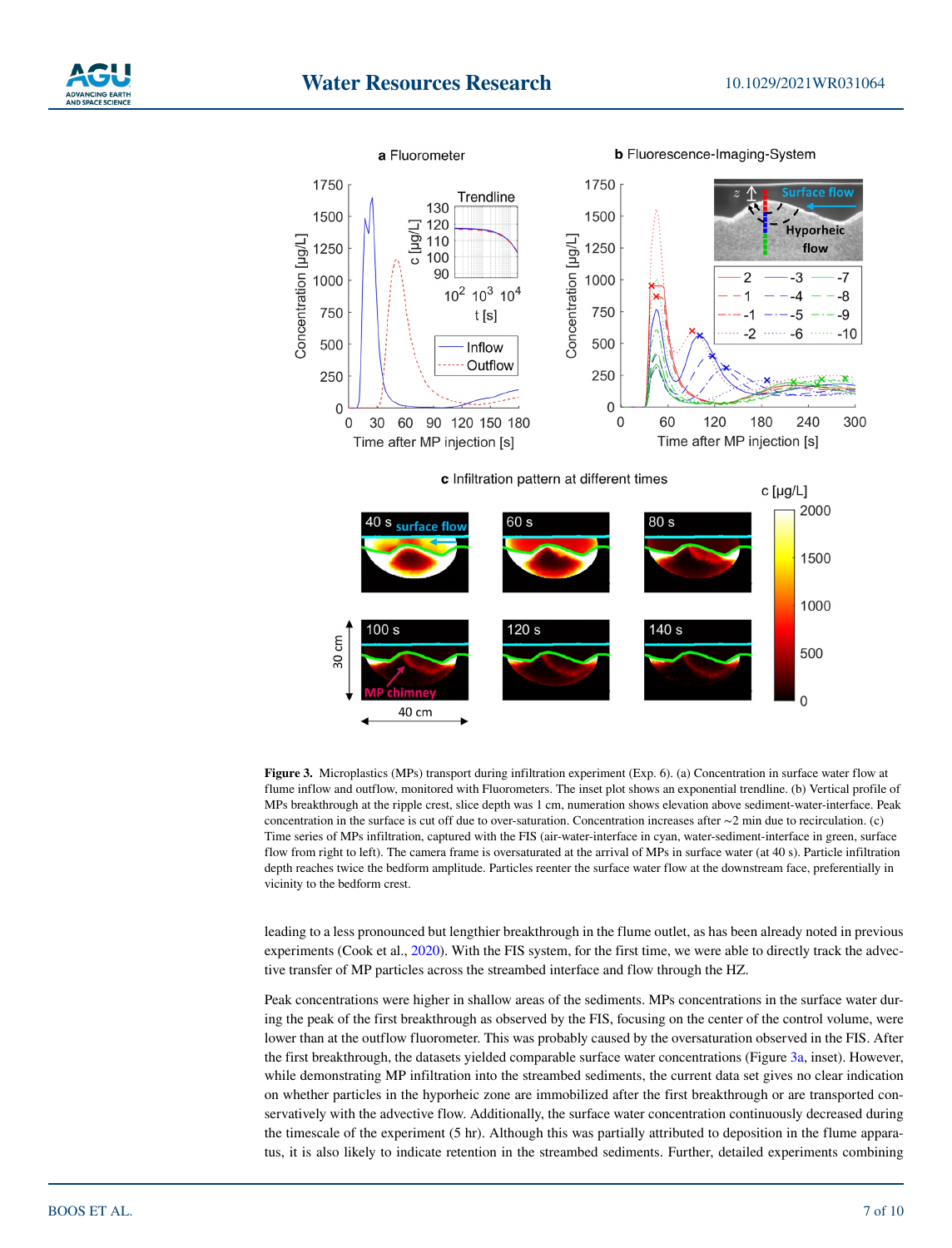

<span id="page-6-0"></span>**Figure 3.** Microplastics (MPs) transport during infiltration experiment (Exp. 6). (a) Concentration in surface water flow at flume inflow and outflow, monitored with Fluorometers. The inset plot shows an exponential trendline. (b) Vertical profile of MPs breakthrough at the ripple crest, slice depth was 1 cm, numeration shows elevation above sediment-water-interface. Peak concentration in the surface is cut off due to over-saturation. Concentration increases after ∼2 min due to recirculation. (c) Time series of MPs infiltration, captured with the FIS (air-water-interface in cyan, water-sediment-interface in green, surface flow from right to left). The camera frame is oversaturated at the arrival of MPs in surface water (at 40 s). Particle infiltration depth reaches twice the bedform amplitude. Particles reenter the surface water flow at the downstream face, preferentially in vicinity to the bedform crest.

leading to a less pronounced but lengthier breakthrough in the flume outlet, as has been already noted in previous experiments (Cook et al., [2020\)](#page-8-13). With the FIS system, for the first time, we were able to directly track the advective transfer of MP particles across the streambed interface and flow through the HZ.

Peak concentrations were higher in shallow areas of the sediments. MPs concentrations in the surface water during the peak of the first breakthrough as observed by the FIS, focusing on the center of the control volume, were lower than at the outflow fluorometer. This was probably caused by the oversaturation observed in the FIS. After the first breakthrough, the datasets yielded comparable surface water concentrations (Figure [3a,](#page-6-0) inset). However, while demonstrating MP infiltration into the streambed sediments, the current data set gives no clear indication on whether particles in the hyporheic zone are immobilized after the first breakthrough or are transported conservatively with the advective flow. Additionally, the surface water concentration continuously decreased during the timescale of the experiment (5 hr). Although this was partially attributed to deposition in the flume apparatus, it is also likely to indicate retention in the streambed sediments. Further, detailed experiments combining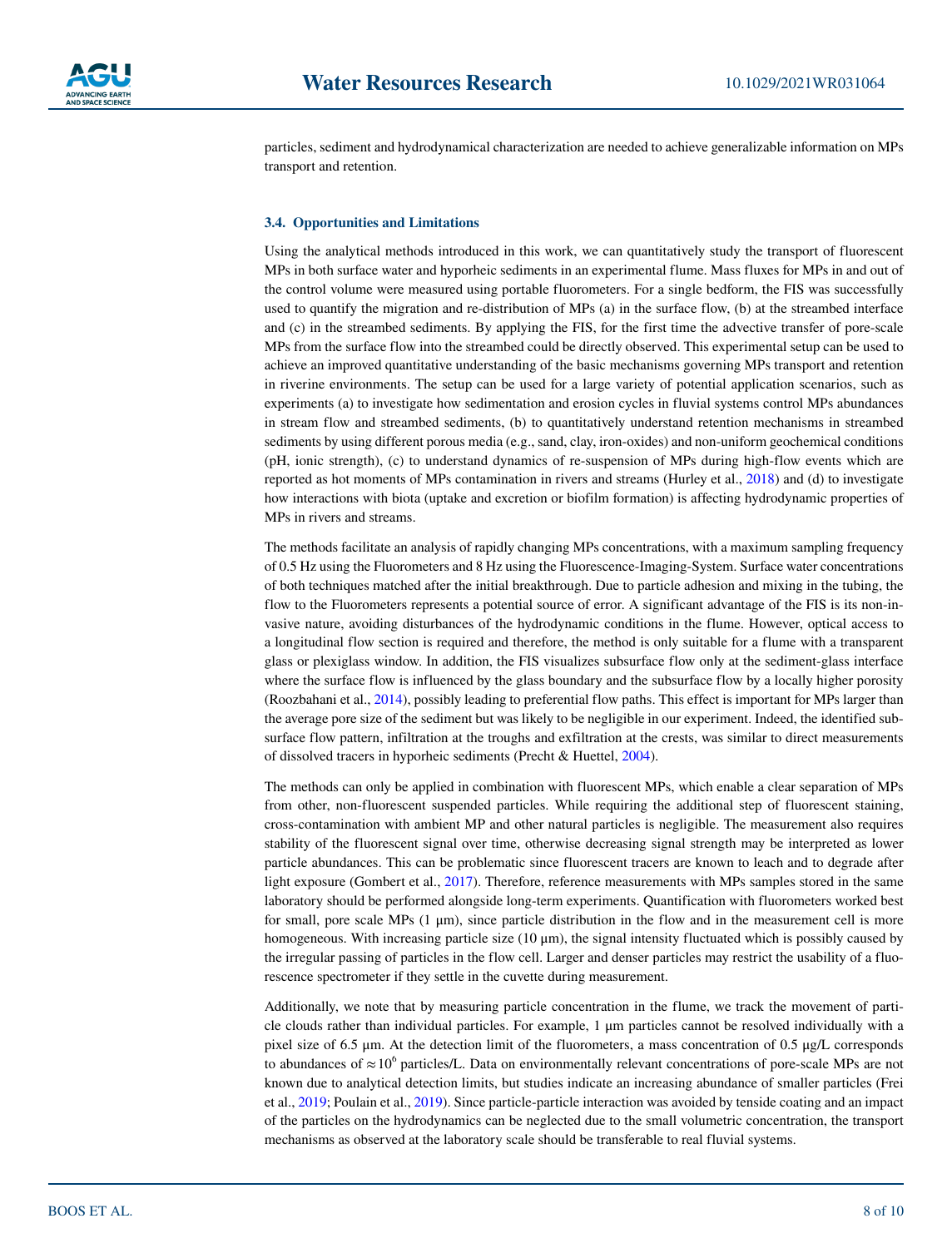

particles, sediment and hydrodynamical characterization are needed to achieve generalizable information on MPs transport and retention.

#### **3.4. Opportunities and Limitations**

Using the analytical methods introduced in this work, we can quantitatively study the transport of fluorescent MPs in both surface water and hyporheic sediments in an experimental flume. Mass fluxes for MPs in and out of the control volume were measured using portable fluorometers. For a single bedform, the FIS was successfully used to quantify the migration and re-distribution of MPs (a) in the surface flow, (b) at the streambed interface and (c) in the streambed sediments. By applying the FIS, for the first time the advective transfer of pore-scale MPs from the surface flow into the streambed could be directly observed. This experimental setup can be used to achieve an improved quantitative understanding of the basic mechanisms governing MPs transport and retention in riverine environments. The setup can be used for a large variety of potential application scenarios, such as experiments (a) to investigate how sedimentation and erosion cycles in fluvial systems control MPs abundances in stream flow and streambed sediments, (b) to quantitatively understand retention mechanisms in streambed sediments by using different porous media (e.g., sand, clay, iron-oxides) and non-uniform geochemical conditions (pH, ionic strength), (c) to understand dynamics of re-suspension of MPs during high-flow events which are reported as hot moments of MPs contamination in rivers and streams (Hurley et al., [2018](#page-9-27)) and (d) to investigate how interactions with biota (uptake and excretion or biofilm formation) is affecting hydrodynamic properties of MPs in rivers and streams.

The methods facilitate an analysis of rapidly changing MPs concentrations, with a maximum sampling frequency of 0.5 Hz using the Fluorometers and 8 Hz using the Fluorescence-Imaging-System. Surface water concentrations of both techniques matched after the initial breakthrough. Due to particle adhesion and mixing in the tubing, the flow to the Fluorometers represents a potential source of error. A significant advantage of the FIS is its non-invasive nature, avoiding disturbances of the hydrodynamic conditions in the flume. However, optical access to a longitudinal flow section is required and therefore, the method is only suitable for a flume with a transparent glass or plexiglass window. In addition, the FIS visualizes subsurface flow only at the sediment-glass interface where the surface flow is influenced by the glass boundary and the subsurface flow by a locally higher porosity (Roozbahani et al., [2014](#page-9-28)), possibly leading to preferential flow paths. This effect is important for MPs larger than the average pore size of the sediment but was likely to be negligible in our experiment. Indeed, the identified subsurface flow pattern, infiltration at the troughs and exfiltration at the crests, was similar to direct measurements of dissolved tracers in hyporheic sediments (Precht & Huettel, [2004\)](#page-9-29).

The methods can only be applied in combination with fluorescent MPs, which enable a clear separation of MPs from other, non-fluorescent suspended particles. While requiring the additional step of fluorescent staining, cross-contamination with ambient MP and other natural particles is negligible. The measurement also requires stability of the fluorescent signal over time, otherwise decreasing signal strength may be interpreted as lower particle abundances. This can be problematic since fluorescent tracers are known to leach and to degrade after light exposure (Gombert et al., [2017\)](#page-8-14). Therefore, reference measurements with MPs samples stored in the same laboratory should be performed alongside long-term experiments. Quantification with fluorometers worked best for small, pore scale MPs  $(1 \mu m)$ , since particle distribution in the flow and in the measurement cell is more homogeneous. With increasing particle size (10 μm), the signal intensity fluctuated which is possibly caused by the irregular passing of particles in the flow cell. Larger and denser particles may restrict the usability of a fluorescence spectrometer if they settle in the cuvette during measurement.

Additionally, we note that by measuring particle concentration in the flume, we track the movement of particle clouds rather than individual particles. For example, 1 μm particles cannot be resolved individually with a pixel size of 6.5 μm. At the detection limit of the fluorometers, a mass concentration of 0.5 μg/L corresponds to abundances of  $\approx 10^6$  particles/L. Data on environmentally relevant concentrations of pore-scale MPs are not known due to analytical detection limits, but studies indicate an increasing abundance of smaller particles (Frei et al., [2019](#page-8-6); Poulain et al., [2019](#page-9-30)). Since particle-particle interaction was avoided by tenside coating and an impact of the particles on the hydrodynamics can be neglected due to the small volumetric concentration, the transport mechanisms as observed at the laboratory scale should be transferable to real fluvial systems.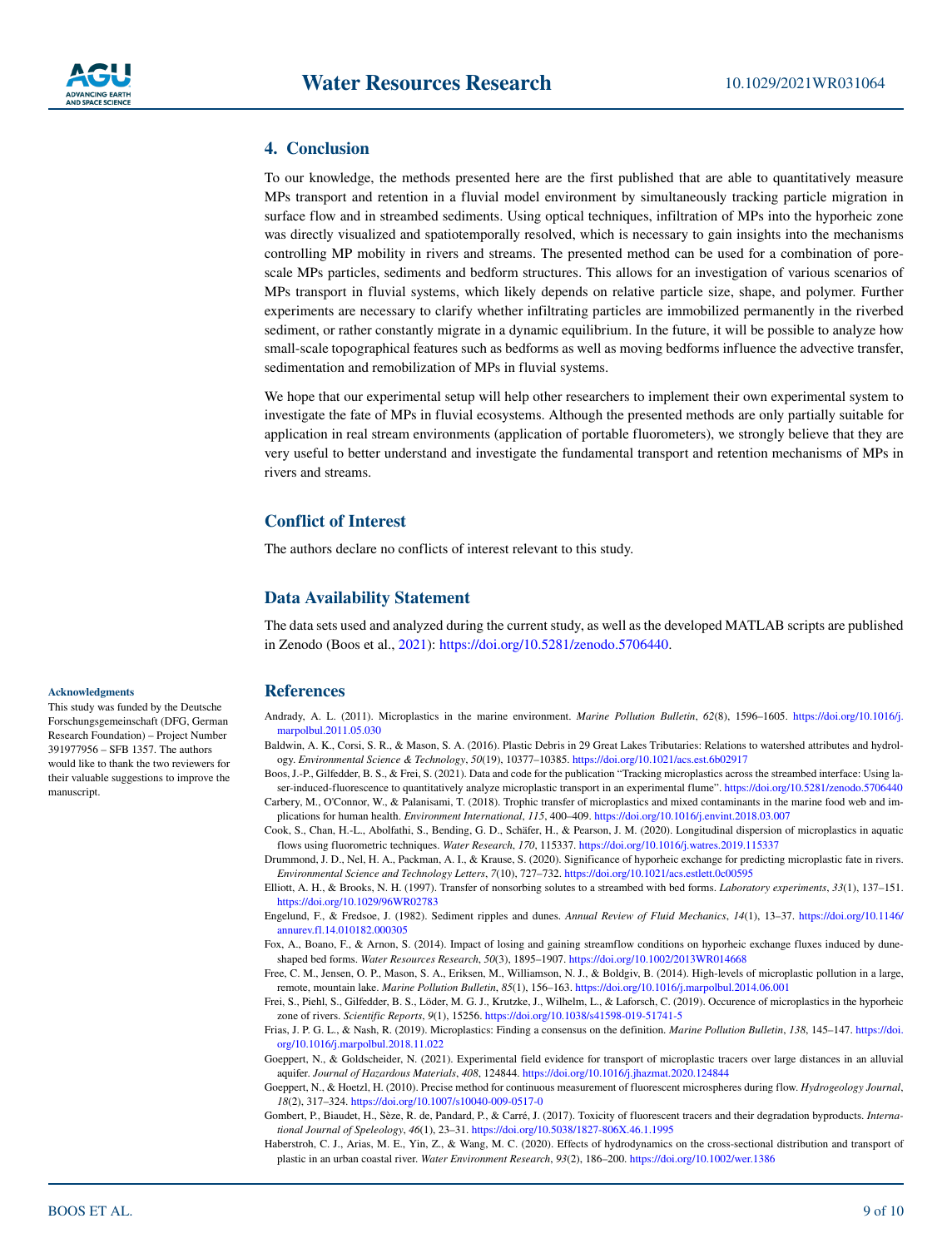### **4. Conclusion**

To our knowledge, the methods presented here are the first published that are able to quantitatively measure MPs transport and retention in a fluvial model environment by simultaneously tracking particle migration in surface flow and in streambed sediments. Using optical techniques, infiltration of MPs into the hyporheic zone was directly visualized and spatiotemporally resolved, which is necessary to gain insights into the mechanisms controlling MP mobility in rivers and streams. The presented method can be used for a combination of porescale MPs particles, sediments and bedform structures. This allows for an investigation of various scenarios of MPs transport in fluvial systems, which likely depends on relative particle size, shape, and polymer. Further experiments are necessary to clarify whether infiltrating particles are immobilized permanently in the riverbed sediment, or rather constantly migrate in a dynamic equilibrium. In the future, it will be possible to analyze how small-scale topographical features such as bedforms as well as moving bedforms influence the advective transfer, sedimentation and remobilization of MPs in fluvial systems.

We hope that our experimental setup will help other researchers to implement their own experimental system to investigate the fate of MPs in fluvial ecosystems. Although the presented methods are only partially suitable for application in real stream environments (application of portable fluorometers), we strongly believe that they are very useful to better understand and investigate the fundamental transport and retention mechanisms of MPs in rivers and streams.

# **Conflict of Interest**

The authors declare no conflicts of interest relevant to this study.

#### **Data Availability Statement**

The data sets used and analyzed during the current study, as well as the developed MATLAB scripts are published in Zenodo (Boos et al., [2021\)](#page-8-15):<https://doi.org/10.5281/zenodo.5706440>.

# **References**

<span id="page-8-1"></span>Andrady, A. L. (2011). Microplastics in the marine environment. *Marine Pollution Bulletin*, *62*(8), 1596–1605. [https://doi.org/10.1016/j.](https://doi.org/10.1016/j.marpolbul.2011.05.030) [marpolbul.2011.05.030](https://doi.org/10.1016/j.marpolbul.2011.05.030)

<span id="page-8-4"></span>Baldwin, A. K., Corsi, S. R., & Mason, S. A. (2016). Plastic Debris in 29 Great Lakes Tributaries: Relations to watershed attributes and hydrology. *Environmental Science & Technology*, *50*(19), 10377–10385.<https://doi.org/10.1021/acs.est.6b02917>

<span id="page-8-15"></span>Boos, J.-P., Gilfedder, B. S., & Frei, S. (2021). Data and code for the publication "Tracking microplastics across the streambed interface: Using laser-induced-fluorescence to quantitatively analyze microplastic transport in an experimental flume".<https://doi.org/10.5281/zenodo.5706440> Carbery, M., O'Connor, W., & Palanisami, T. (2018). Trophic transfer of microplastics and mixed contaminants in the marine food web and im-

<span id="page-8-13"></span><span id="page-8-2"></span>plications for human health. *Environment International*, *115*, 400–409.<https://doi.org/10.1016/j.envint.2018.03.007> Cook, S., Chan, H.-L., Abolfathi, S., Bending, G. D., Schäfer, H., & Pearson, J. M. (2020). Longitudinal dispersion of microplastics in aquatic

flows using fluorometric techniques. *Water Research*, *170*, 115337. <https://doi.org/10.1016/j.watres.2019.115337>

- <span id="page-8-8"></span>Drummond, J. D., Nel, H. A., Packman, A. I., & Krause, S. (2020). Significance of hyporheic exchange for predicting microplastic fate in rivers. *Environmental Science and Technology Letters*, *7*(10), 727–732.<https://doi.org/10.1021/acs.estlett.0c00595>
- <span id="page-8-7"></span>Elliott, A. H., & Brooks, N. H. (1997). Transfer of nonsorbing solutes to a streambed with bed forms. *Laboratory experiments*, *33*(1), 137–151. <https://doi.org/10.1029/96WR02783>
- <span id="page-8-11"></span>Engelund, F., & Fredsoe, J. (1982). Sediment ripples and dunes. *Annual Review of Fluid Mechanics*, *14*(1), 13–37. [https://doi.org/10.1146/](https://doi.org/10.1146/annurev.fl.14.010182.000305) [annurev.fl.14.010182.000305](https://doi.org/10.1146/annurev.fl.14.010182.000305)
- <span id="page-8-10"></span>Fox, A., Boano, F., & Arnon, S. (2014). Impact of losing and gaining streamflow conditions on hyporheic exchange fluxes induced by duneshaped bed forms. *Water Resources Research*, *50*(3), 1895–1907.<https://doi.org/10.1002/2013WR014668>
- <span id="page-8-3"></span>Free, C. M., Jensen, O. P., Mason, S. A., Eriksen, M., Williamson, N. J., & Boldgiv, B. (2014). High-levels of microplastic pollution in a large, remote, mountain lake. *Marine Pollution Bulletin*, *85*(1), 156–163.<https://doi.org/10.1016/j.marpolbul.2014.06.001>
- <span id="page-8-6"></span>Frei, S., Piehl, S., Gilfedder, B. S., Löder, M. G. J., Krutzke, J., Wilhelm, L., & Laforsch, C. (2019). Occurence of microplastics in the hyporheic zone of rivers. *Scientific Reports*, *9*(1), 15256.<https://doi.org/10.1038/s41598-019-51741-5>

<span id="page-8-0"></span>Frias, J. P. G. L., & Nash, R. (2019). Microplastics: Finding a consensus on the definition. *Marine Pollution Bulletin*, *138*, 145–147. [https://doi.](https://doi.org/10.1016/j.marpolbul.2018.11.022) [org/10.1016/j.marpolbul.2018.11.022](https://doi.org/10.1016/j.marpolbul.2018.11.022)

- <span id="page-8-9"></span>Goeppert, N., & Goldscheider, N. (2021). Experimental field evidence for transport of microplastic tracers over large distances in an alluvial aquifer. *Journal of Hazardous Materials*, *408*, 124844. <https://doi.org/10.1016/j.jhazmat.2020.124844>
- <span id="page-8-12"></span>Goeppert, N., & Hoetzl, H. (2010). Precise method for continuous measurement of fluorescent microspheres during flow. *Hydrogeology Journal*, *18*(2), 317–324. <https://doi.org/10.1007/s10040-009-0517-0>
- <span id="page-8-14"></span>Gombert, P., Biaudet, H., Sèze, R. de, Pandard, P., & Carré, J. (2017). Toxicity of fluorescent tracers and their degradation byproducts. *International Journal of Speleology*, *46*(1), 23–31. <https://doi.org/10.5038/1827-806X.46.1.1995>
- <span id="page-8-5"></span>Haberstroh, C. J., Arias, M. E., Yin, Z., & Wang, M. C. (2020). Effects of hydrodynamics on the cross-sectional distribution and transport of plastic in an urban coastal river. *Water Environment Research*, *93*(2), 186–200. <https://doi.org/10.1002/wer.1386>

#### **Acknowledgments**

This study was funded by the Deutsche Forschungsgemeinschaft (DFG, German Research Foundation) – Project Number 391977956 – SFB 1357. The authors would like to thank the two reviewers for their valuable suggestions to improve the manuscript.